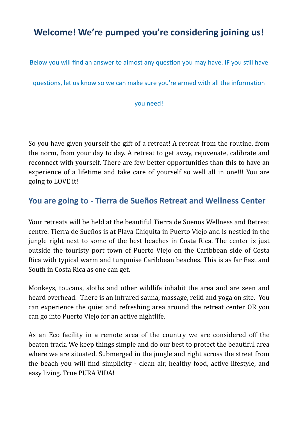# **Welcome! We're pumped you're considering joining us!**

Below you will find an answer to almost any question you may have. IF you still have

questions, let us know so we can make sure you're armed with all the information

you need!

So you have given yourself the gift of a retreat! A retreat from the routine, from the norm, from your day to day. A retreat to get away, rejuvenate, calibrate and reconnect with yourself. There are few better opportunities than this to have an experience of a lifetime and take care of yourself so well all in one!!! You are going to LOVE it!

## **You are going to - Tierra de Sueños Retreat and Wellness Center**

Your retreats will be held at the beautiful Tierra de Suenos Wellness and Retreat centre. Tierra de Sueños is at Playa Chiquita in Puerto Viejo and is nestled in the jungle right next to some of the best beaches in Costa Rica. The center is just outside the touristy port town of Puerto Viejo on the Caribbean side of Costa Rica with typical warm and turquoise Caribbean beaches. This is as far East and South in Costa Rica as one can get.

Monkeys, toucans, sloths and other wildlife inhabit the area and are seen and heard overhead. There is an infrared sauna, massage, reiki and yoga on site. You can experience the quiet and refreshing area around the retreat center OR you can go into Puerto Viejo for an active nightlife.

As an Eco facility in a remote area of the country we are considered off the beaten track. We keep things simple and do our best to protect the beautiful area where we are situated. Submerged in the jungle and right across the street from the beach you will find simplicity - clean air, healthy food, active lifestyle, and easy living. True PURA VIDA!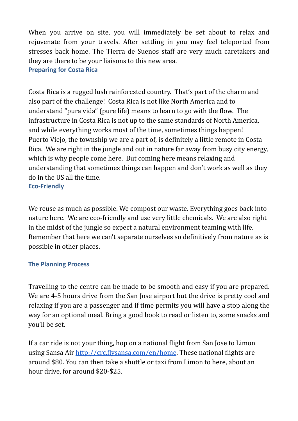When you arrive on site, you will immediately be set about to relax and rejuvenate from your travels. After settling in you may feel teleported from stresses back home. The Tierra de Suenos staff are very much caretakers and they are there to be your liaisons to this new area. **Preparing for Costa Rica**

Costa Rica is a rugged lush rainforested country. That's part of the charm and also part of the challenge! Costa Rica is not like North America and to understand "pura vida" (pure life) means to learn to go with the flow. The infrastructure in Costa Rica is not up to the same standards of North America, and while everything works most of the time, sometimes things happen! Puerto Viejo, the township we are a part of, is definitely a little remote in Costa Rica. We are right in the jungle and out in nature far away from busy city energy, which is why people come here. But coming here means relaxing and understanding that sometimes things can happen and don't work as well as they do in the US all the time. **Eco-Friendly**

We reuse as much as possible. We compost our waste. Everything goes back into nature here. We are eco-friendly and use very little chemicals. We are also right in the midst of the jungle so expect a natural environment teaming with life. Remember that here we can't separate ourselves so definitively from nature as is possible in other places.

#### **The Planning Process**

Travelling to the centre can be made to be smooth and easy if you are prepared. We are 4-5 hours drive from the San Jose airport but the drive is pretty cool and relaxing if you are a passenger and if time permits you will have a stop along the way for an optional meal. Bring a good book to read or listen to, some snacks and you'll be set.

If a car ride is not your thing, hop on a national flight from San Jose to Limon using Sansa Air http://crc.flysansa.com/en/home. These national flights are around \$80. You can then take a shuttle or taxi from Limon to here, about an hour drive, for around \$20-\$25.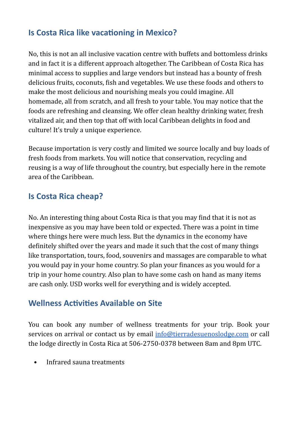## **Is Costa Rica like vacationing in Mexico?**

No, this is not an all inclusive vacation centre with buffets and bottomless drinks and in fact it is a different approach altogether. The Caribbean of Costa Rica has minimal access to supplies and large vendors but instead has a bounty of fresh delicious fruits, coconuts, fish and vegetables. We use these foods and others to make the most delicious and nourishing meals you could imagine. All homemade, all from scratch, and all fresh to your table. You may notice that the foods are refreshing and cleansing. We offer clean healthy drinking water, fresh vitalized air, and then top that off with local Caribbean delights in food and culture! It's truly a unique experience.

Because importation is very costly and limited we source locally and buy loads of fresh foods from markets. You will notice that conservation, recycling and reusing is a way of life throughout the country, but especially here in the remote area of the Caribbean.

## **Is Costa Rica cheap?**

No. An interesting thing about Costa Rica is that you may find that it is not as inexpensive as you may have been told or expected. There was a point in time where things here were much less. But the dynamics in the economy have definitely shifted over the years and made it such that the cost of many things like transportation, tours, food, souvenirs and massages are comparable to what you would pay in your home country. So plan your finances as you would for a trip in your home country. Also plan to have some cash on hand as many items are cash only. USD works well for everything and is widely accepted.

## **Wellness Activities Available on Site**

You can book any number of wellness treatments for your trip. Book your services on arrival or contact us by email info@tierradesuenoslodge.com or call the lodge directly in Costa Rica at 506-2750-0378 between 8am and 8pm UTC.

• Infrared sauna treatments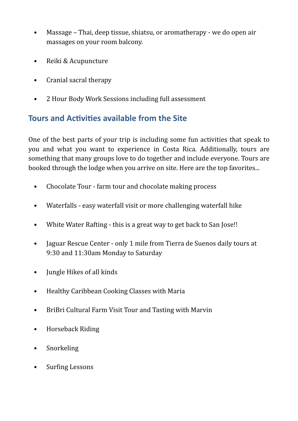- Massage Thai, deep tissue, shiatsu, or aromatherapy we do open air massages on your room balcony.
- Reiki & Acupuncture
- Cranial sacral therapy
- 2 Hour Body Work Sessions including full assessment

## **Tours and Activities available from the Site**

One of the best parts of your trip is including some fun activities that speak to you and what you want to experience in Costa Rica. Additionally, tours are something that many groups love to do together and include everyone. Tours are booked through the lodge when you arrive on site. Here are the top favorites...

- Chocolate Tour farm tour and chocolate making process
- Waterfalls easy waterfall visit or more challenging waterfall hike
- White Water Rafting this is a great way to get back to San Jose!!
- Jaguar Rescue Center only 1 mile from Tierra de Suenos daily tours at 9:30 and 11:30am Monday to Saturday
- Jungle Hikes of all kinds
- Healthy Caribbean Cooking Classes with Maria
- BriBri Cultural Farm Visit Tour and Tasting with Marvin
- Horseback Riding
- **Snorkeling**
- Surfing Lessons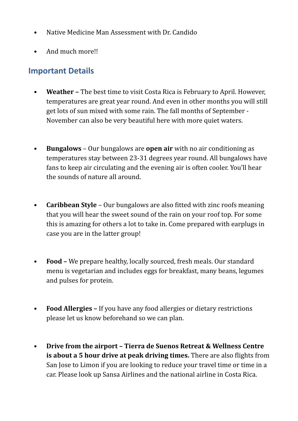- Native Medicine Man Assessment with Dr. Candido
- And much more!!

## **Important Details**

- **Weather** The best time to visit Costa Rica is February to April. However, temperatures are great year round. And even in other months you will still get lots of sun mixed with some rain. The fall months of September -November can also be very beautiful here with more quiet waters.
- **Bungalows** Our bungalows are **open air** with no air conditioning as temperatures stay between 23-31 degrees year round. All bungalows have fans to keep air circulating and the evening air is often cooler. You'll hear the sounds of nature all around.
- **Caribbean Style** Our bungalows are also fitted with zinc roofs meaning that you will hear the sweet sound of the rain on your roof top. For some this is amazing for others a lot to take in. Come prepared with earplugs in case you are in the latter group!
- **Food –** We prepare healthy, locally sourced, fresh meals. Our standard menu is vegetarian and includes eggs for breakfast, many beans, legumes and pulses for protein.
- **Food Allergies** If you have any food allergies or dietary restrictions please let us know beforehand so we can plan.
- **•** Drive from the airport Tierra de Suenos Retreat & Wellness Centre **is about a 5 hour drive at peak driving times.** There are also flights from San Jose to Limon if you are looking to reduce your travel time or time in a car. Please look up Sansa Airlines and the national airline in Costa Rica.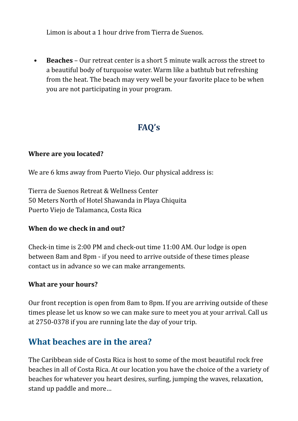Limon is about a 1 hour drive from Tierra de Suenos.

• **Beaches** – Our retreat center is a short 5 minute walk across the street to a beautiful body of turquoise water. Warm like a bathtub but refreshing from the heat. The beach may very well be your favorite place to be when you are not participating in your program.

# **FAQ's**

#### **Where are you located?**

We are 6 kms away from Puerto Viejo. Our physical address is:

Tierra de Suenos Retreat & Wellness Center 50 Meters North of Hotel Shawanda in Playa Chiquita Puerto Viejo de Talamanca, Costa Rica

#### **When do we check in and out?**

Check-in time is  $2:00$  PM and check-out time  $11:00$  AM. Our lodge is open between 8am and 8pm - if you need to arrive outside of these times please contact us in advance so we can make arrangements.

#### **What are your hours?**

Our front reception is open from 8am to 8pm. If you are arriving outside of these times please let us know so we can make sure to meet you at your arrival. Call us at 2750-0378 if you are running late the day of your trip.

## **What heaches are in the area?**

The Caribbean side of Costa Rica is host to some of the most beautiful rock free beaches in all of Costa Rica. At our location you have the choice of the a variety of beaches for whatever you heart desires, surfing, jumping the waves, relaxation, stand up paddle and more...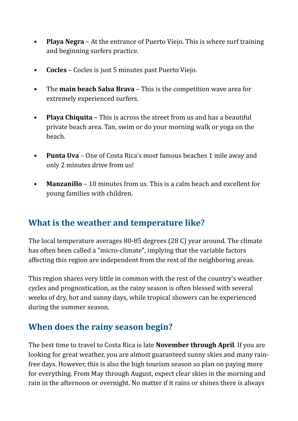- **Playa Negra** At the entrance of Puerto Viejo. This is where surf training and beginning surfers practice.
- **Cocles** Cocles is just 5 minutes past Puerto Viejo.
- The **main beach Salsa Brava** This is the competition wave area for extremely experienced surfers.
- **Playa Chiquita** This is across the street from us and has a beautiful private beach area. Tan, swim or do your morning walk or yoga on the beach.
- **Punta Uva** One of Costa Rica's most famous beaches 1 mile away and only 2 minutes drive from us!
- **Manzanillo** 10 minutes from us. This is a calm beach and excellent for young families with children.

## **What is the weather and temperature like?**

The local temperature averages  $80-85$  degrees  $(28\text{ C})$  year around. The climate has often been called a "micro-climate", implying that the variable factors affecting this region are independent from the rest of the neighboring areas.

This region shares very little in common with the rest of the country's weather cycles and prognostication, as the rainy season is often blessed with several weeks of dry, hot and sunny days, while tropical showers can be experienced during the summer season.

# **When does the rainy season begin?**

The best time to travel to Costa Rica is late **November through April**. If you are looking for great weather, you are almost guaranteed sunny skies and many rainfree days. However, this is also the high tourism season so plan on paying more for everything. From May through August, expect clear skies in the morning and rain in the afternoon or overnight. No matter if it rains or shines there is always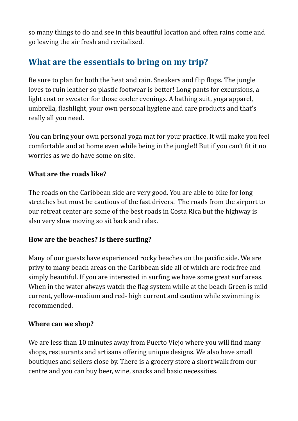so many things to do and see in this beautiful location and often rains come and go leaving the air fresh and revitalized.

# **What are the essentials to bring on my trip?**

Be sure to plan for both the heat and rain. Sneakers and flip flops. The jungle loves to ruin leather so plastic footwear is better! Long pants for excursions, a light coat or sweater for those cooler evenings. A bathing suit, yoga apparel, umbrella, flashlight, your own personal hygiene and care products and that's really all you need.

You can bring your own personal yoga mat for your practice. It will make you feel comfortable and at home even while being in the jungle!! But if you can't fit it no worries as we do have some on site.

## **What are the roads like?**

The roads on the Caribbean side are very good. You are able to bike for long stretches but must be cautious of the fast drivers. The roads from the airport to our retreat center are some of the best roads in Costa Rica but the highway is also very slow moving so sit back and relax.

## How are the beaches? Is there surfing?

Many of our guests have experienced rocky beaches on the pacific side. We are privy to many beach areas on the Caribbean side all of which are rock free and simply beautiful. If you are interested in surfing we have some great surf areas. When in the water always watch the flag system while at the beach Green is mild current, yellow-medium and red- high current and caution while swimming is recommended. 

## **Where can we shop?**

We are less than 10 minutes away from Puerto Viejo where you will find many shops, restaurants and artisans offering unique designs. We also have small boutiques and sellers close by. There is a grocery store a short walk from our centre and you can buy beer, wine, snacks and basic necessities.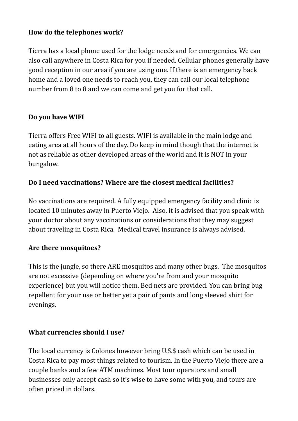## How do the telephones work?

Tierra has a local phone used for the lodge needs and for emergencies. We can also call anywhere in Costa Rica for you if needed. Cellular phones generally have good reception in our area if you are using one. If there is an emergency back home and a loved one needs to reach you, they can call our local telephone number from 8 to 8 and we can come and get you for that call.

#### Do you have WIFI

Tierra offers Free WIFI to all guests. WIFI is available in the main lodge and eating area at all hours of the day. Do keep in mind though that the internet is not as reliable as other developed areas of the world and it is NOT in your bungalow.

## **Do I need vaccinations? Where are the closest medical facilities?**

No vaccinations are required. A fully equipped emergency facility and clinic is located 10 minutes away in Puerto Viejo. Also, it is advised that you speak with your doctor about any vaccinations or considerations that they may suggest about traveling in Costa Rica. Medical travel insurance is always advised.

## Are there mosquitoes?

This is the jungle, so there ARE mosquitos and many other bugs. The mosquitos are not excessive (depending on where you're from and your mosquito experience) but you will notice them. Bed nets are provided. You can bring bug repellent for your use or better yet a pair of pants and long sleeved shirt for evenings. 

## **What currencies should I use?**

The local currency is Colones however bring U.S.\$ cash which can be used in Costa Rica to pay most things related to tourism. In the Puerto Viejo there are a couple banks and a few ATM machines. Most tour operators and small businesses only accept cash so it's wise to have some with you, and tours are often priced in dollars.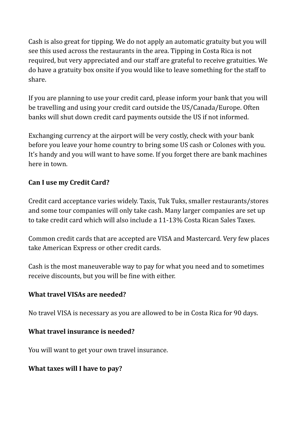Cash is also great for tipping. We do not apply an automatic gratuity but you will see this used across the restaurants in the area. Tipping in Costa Rica is not required, but very appreciated and our staff are grateful to receive gratuities. We do have a gratuity box onsite if you would like to leave something for the staff to share.

If you are planning to use your credit card, please inform your bank that you will be travelling and using your credit card outside the US/Canada/Europe. Often banks will shut down credit card payments outside the US if not informed.

Exchanging currency at the airport will be very costly, check with your bank before you leave your home country to bring some US cash or Colones with you. It's handy and you will want to have some. If you forget there are bank machines here in town.

## **Can I use my Credit Card?**

Credit card acceptance varies widely. Taxis, Tuk Tuks, smaller restaurants/stores and some tour companies will only take cash. Many larger companies are set up to take credit card which will also include a 11-13% Costa Rican Sales Taxes.

Common credit cards that are accepted are VISA and Mastercard. Very few places take American Express or other credit cards.

Cash is the most maneuverable way to pay for what you need and to sometimes receive discounts, but you will be fine with either.

#### **What travel VISAs are needed?**

No travel VISA is necessary as you are allowed to be in Costa Rica for 90 days.

#### **What travel insurance is needed?**

You will want to get your own travel insurance.

#### **What taxes will I have to pay?**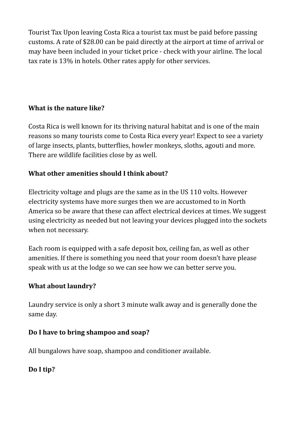Tourist Tax Upon leaving Costa Rica a tourist tax must be paid before passing customs. A rate of \$28.00 can be paid directly at the airport at time of arrival or may have been included in your ticket price - check with your airline. The local tax rate is 13% in hotels. Other rates apply for other services.

## **What is the nature like?**

Costa Rica is well known for its thriving natural habitat and is one of the main reasons so many tourists come to Costa Rica every year! Expect to see a variety of large insects, plants, butterflies, howler monkeys, sloths, agouti and more. There are wildlife facilities close by as well.

## **What other amenities should I think about?**

Electricity voltage and plugs are the same as in the US 110 volts. However electricity systems have more surges then we are accustomed to in North America so be aware that these can affect electrical devices at times. We suggest using electricity as needed but not leaving your devices plugged into the sockets when not necessary.

Each room is equipped with a safe deposit box, ceiling fan, as well as other amenities. If there is something you need that your room doesn't have please speak with us at the lodge so we can see how we can better serve you.

## **What about laundry?**

Laundry service is only a short 3 minute walk away and is generally done the same day.

## Do I have to bring shampoo and soap?

All bungalows have soap, shampoo and conditioner available.

## **Do I tip?**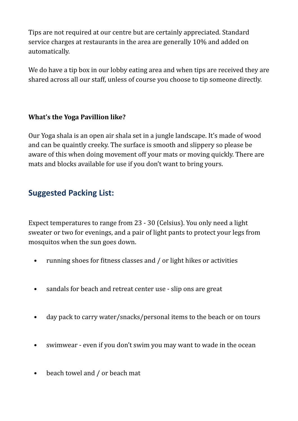Tips are not required at our centre but are certainly appreciated. Standard service charges at restaurants in the area are generally 10% and added on automatically. 

We do have a tip box in our lobby eating area and when tips are received they are shared across all our staff, unless of course you choose to tip someone directly.

## **What's the Yoga Pavillion like?**

Our Yoga shala is an open air shala set in a jungle landscape. It's made of wood and can be quaintly creeky. The surface is smooth and slippery so please be aware of this when doing movement off your mats or moving quickly. There are mats and blocks available for use if you don't want to bring yours.

## **Suggested Packing List:**

Expect temperatures to range from 23 - 30 (Celsius). You only need a light sweater or two for evenings, and a pair of light pants to protect your legs from mosquitos when the sun goes down.

- running shoes for fitness classes and / or light hikes or activities
- sandals for beach and retreat center use slip ons are great
- day pack to carry water/snacks/personal items to the beach or on tours
- swimwear even if you don't swim you may want to wade in the ocean
- beach towel and / or beach mat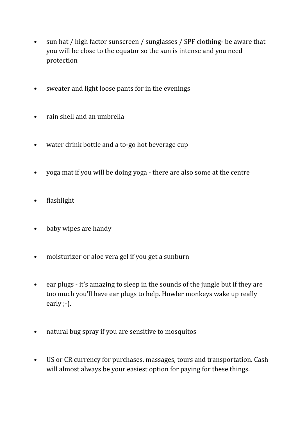- sun hat / high factor sunscreen / sunglasses / SPF clothing- be aware that you will be close to the equator so the sun is intense and you need protection
- sweater and light loose pants for in the evenings
- rain shell and an umbrella
- water drink bottle and a to-go hot beverage cup
- yoga mat if you will be doing yoga there are also some at the centre
- flashlight
- baby wipes are handy
- moisturizer or aloe vera gel if you get a sunburn
- ear plugs it's amazing to sleep in the sounds of the jungle but if they are too much you'll have ear plugs to help. Howler monkeys wake up really early ;-).
- natural bug spray if you are sensitive to mosquitos
- US or CR currency for purchases, massages, tours and transportation. Cash will almost always be your easiest option for paying for these things.